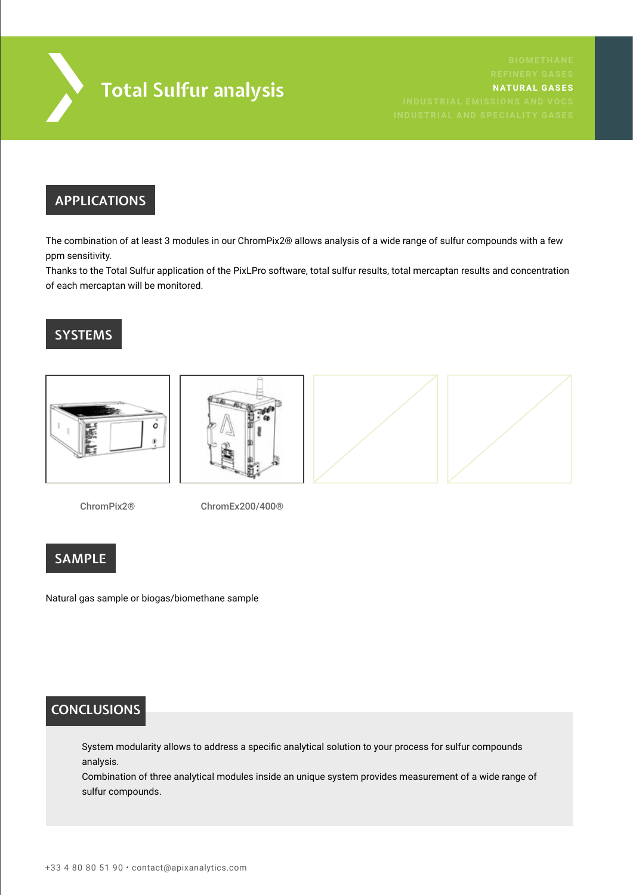

# **APPLICATIONS**

The combination of at least 3 modules in our ChromPix2® allows analysis of a wide range of sulfur compounds with a few ppm sensitivity.

Thanks to the Total Sulfur application of the PixLPro software, total sulfur results, total mercaptan results and concentration of each mercaptan will be monitored.

# **SYSTEMS**



ChromPix2®

ChromEx200/400®

# **SAMPLE**

Natural gas sample or biogas/biomethane sample

# **CONCLUSIONS**

System modularity allows to address a specific analytical solution to your process for sulfur compounds analysis.

Combination of three analytical modules inside an unique system provides measurement of a wide range of sulfur compounds.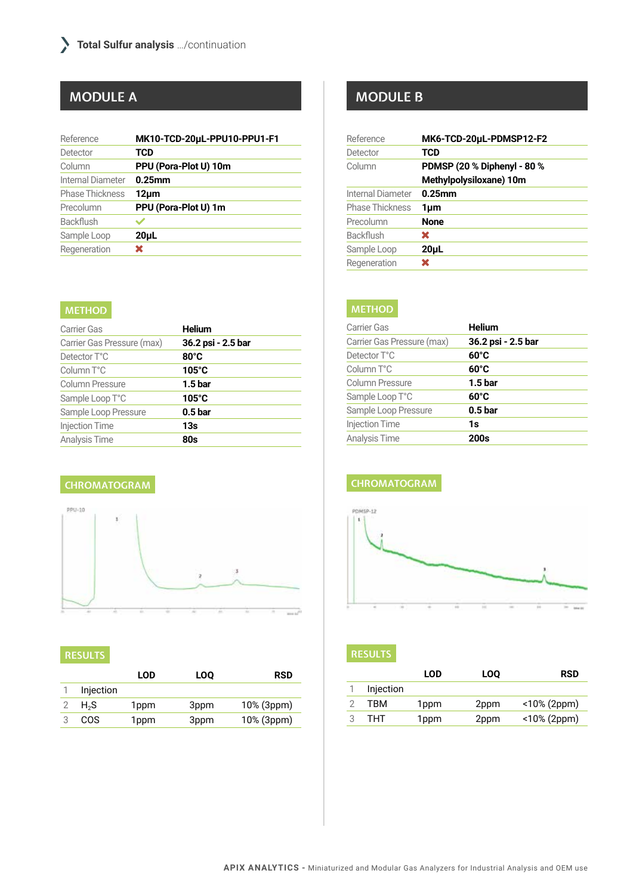| Reference              | MK10-TCD-20uL-PPU10-PPU1-F1 |
|------------------------|-----------------------------|
| Detector               | TCD                         |
| Column                 | PPU (Pora-Plot U) 10m       |
| Internal Diameter      | $0.25$ mm                   |
| <b>Phase Thickness</b> | 12um                        |
| Precolumn              | PPU (Pora-Plot U) 1m        |
| Backflush              |                             |
| Sample Loop            | 20 <sub>µ</sub>             |
| Regeneration           | ×                           |

### **METHOD**

| Carrier Gas                | <b>Helium</b>      |
|----------------------------|--------------------|
| Carrier Gas Pressure (max) | 36.2 psi - 2.5 bar |
| Detector T°C               | $80^{\circ}$ C     |
| Column T°C                 | $105^\circ C$      |
| <b>Column Pressure</b>     | 1.5 <sub>bar</sub> |
| Sample Loop T°C            | $105^\circ C$      |
| Sample Loop Pressure       | 0.5 <sub>bar</sub> |
| <b>Injection Time</b>      | 13s                |
| Analysis Time              | 80s                |

### **CHROMATOGRAM**



### **RESULTS**

|                  | LOD  | LOO  | <b>RSD</b> |
|------------------|------|------|------------|
| Injection        |      |      |            |
| H <sub>2</sub> S | 1ppm | 3ppm | 10% (3ppm) |
| COS              | 1ppm | 3ppm | 10% (3ppm) |

# **MODULE A MODULE B**

| Reference              | MK6-TCD-20µL-PDMSP12-F2     |
|------------------------|-----------------------------|
| Detector               | TCD                         |
| Column                 | PDMSP (20 % Diphenyl - 80 % |
|                        | Methylpolysiloxane) 10m     |
| Internal Diameter      | $0.25$ mm                   |
| <b>Phase Thickness</b> | 1µm                         |
| Precolumn              | <b>None</b>                 |
| Backflush              | ×                           |
| Sample Loop            | $20 \mu L$                  |
| Regeneration           | x                           |

### **METHOD**

| <b>Helium</b>      |
|--------------------|
| 36.2 psi - 2.5 bar |
| $60^{\circ}$ C     |
| $60^{\circ}$ C     |
| 1.5 bar            |
| 60°C               |
| 0.5 <sub>bar</sub> |
| 1s                 |
| 200s               |
|                    |

## **CHROMATOGRAM**



### **RESULTS**

|   |           | <b>LOD</b>       | <b>LOO</b> | <b>RSD</b>  |
|---|-----------|------------------|------------|-------------|
|   | Injection |                  |            |             |
|   | TRM       | 1 <sub>ppm</sub> | 2ppm       | <10% (2ppm) |
| 2 | тнт       | 1 <sub>ppm</sub> | 2ppm       | <10% (2ppm) |